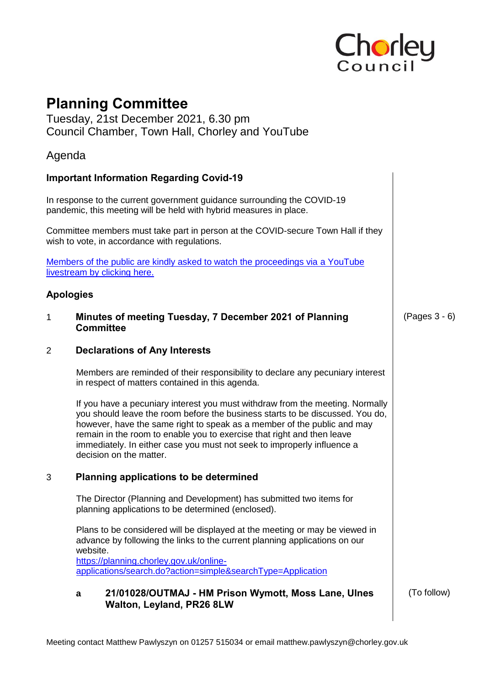

# **Planning Committee**

Tuesday, 21st December 2021, 6.30 pm Council Chamber, Town Hall, Chorley and YouTube

# Agenda

### **Important Information Regarding Covid-19**

In response to the current government guidance surrounding the COVID-19 pandemic, this meeting will be held with hybrid measures in place.

Committee members must take part in person at the COVID-secure Town Hall if they wish to vote, in accordance with regulations.

[Members of the public are kindly asked to watch the proceedings via a YouTube](https://www.youtube.com/user/ChorleyCouncil/featured)  [livestream by clicking here.](https://www.youtube.com/user/ChorleyCouncil/featured)

#### **Apologies**

1 **Minutes of meeting Tuesday, 7 December 2021 of Planning Committee** 

### 2 **Declarations of Any Interests**

Members are reminded of their responsibility to declare any pecuniary interest in respect of matters contained in this agenda.

If you have a pecuniary interest you must withdraw from the meeting. Normally you should leave the room before the business starts to be discussed. You do, however, have the same right to speak as a member of the public and may remain in the room to enable you to exercise that right and then leave immediately. In either case you must not seek to improperly influence a decision on the matter.

### 3 **Planning applications to be determined**

The Director (Planning and Development) has submitted two items for planning applications to be determined (enclosed).

Plans to be considered will be displayed at the meeting or may be viewed in advance by following the links to the current planning applications on our website.

[https://planning.chorley.gov.uk/online](https://planning.chorley.gov.uk/online-applications/search.do?action=simple&searchType=Application)[applications/search.do?action=simple&searchType=Application](https://planning.chorley.gov.uk/online-applications/search.do?action=simple&searchType=Application) 

#### **a 21/01028/OUTMAJ - HM Prison Wymott, Moss Lane, Ulnes Walton, Leyland, PR26 8LW**

(To follow)

(Pages 3 - 6)